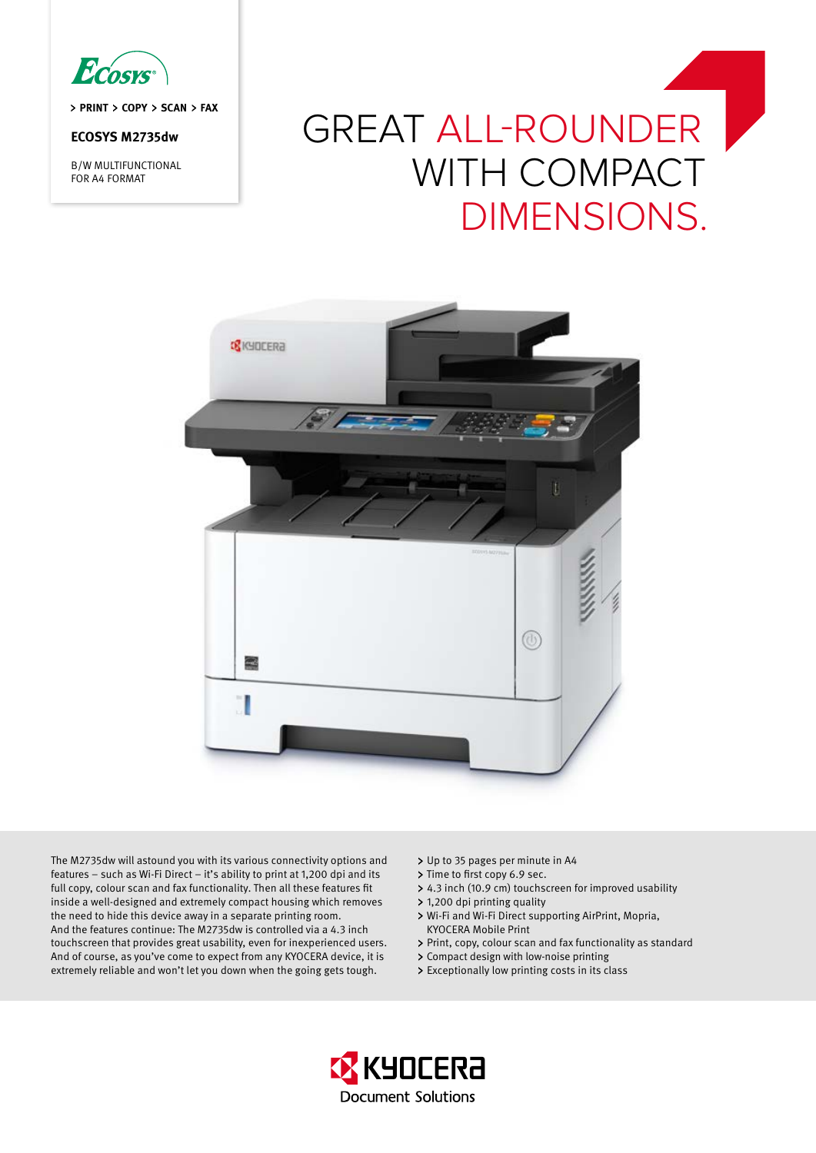

> PRINT > COPY > SCAN > FAX

# **ECOSYS M2735dw**

B/W MULTIFUNCTIONAL FOR A4 FORMAT

# Great all-rounder WITH COMPACT dimensions.



The M2735dw will astound you with its various connectivity options and features – such as Wi-Fi Direct – it's ability to print at 1,200 dpi and its full copy, colour scan and fax functionality. Then all these features fit inside a well-designed and extremely compact housing which removes the need to hide this device away in a separate printing room. And the features continue: The M2735dw is controlled via a 4.3 inch touchscreen that provides great usability, even for inexperienced users. And of course, as you've come to expect from any KYOCERA device, it is extremely reliable and won't let you down when the going gets tough.

- > Up to 35 pages per minute in A4
- > Time to first copy 6.9 sec.
- 4.3 inch (10.9 cm) touchscreen for improved usability
- 1,200 dpi printing quality
- Wi-Fi and Wi-Fi Direct supporting AirPrint, Mopria, KYOCERA Mobile Print
- Print, copy, colour scan and fax functionality as standard
- Compact design with low-noise printing
- Exceptionally low printing costs in its class